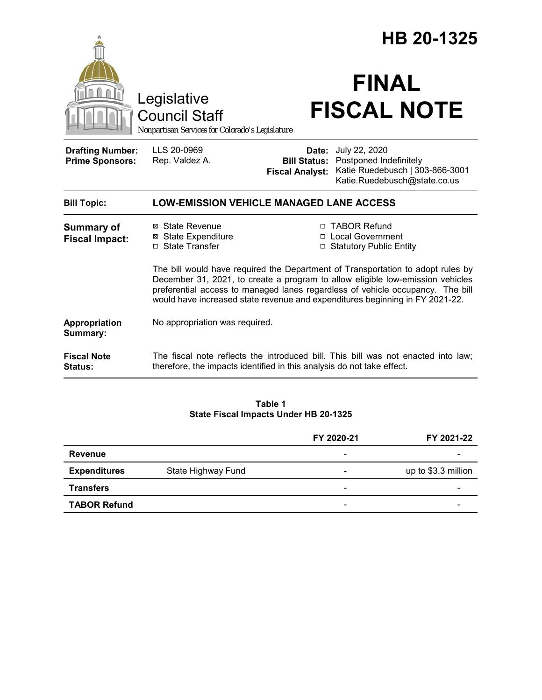|                                                   |                                                                                                                                                                                                                                                                                                                                     | HB 20-1325                                    |                                                                                                                  |  |
|---------------------------------------------------|-------------------------------------------------------------------------------------------------------------------------------------------------------------------------------------------------------------------------------------------------------------------------------------------------------------------------------------|-----------------------------------------------|------------------------------------------------------------------------------------------------------------------|--|
|                                                   | Legislative<br><b>Council Staff</b><br>Nonpartisan Services for Colorado's Legislature                                                                                                                                                                                                                                              |                                               | <b>FINAL</b><br><b>FISCAL NOTE</b>                                                                               |  |
| <b>Drafting Number:</b><br><b>Prime Sponsors:</b> | LLS 20-0969<br>Rep. Valdez A.                                                                                                                                                                                                                                                                                                       | <b>Bill Status:</b><br><b>Fiscal Analyst:</b> | Date: July 22, 2020<br>Postponed Indefinitely<br>Katie Ruedebusch   303-866-3001<br>Katie.Ruedebusch@state.co.us |  |
| <b>Bill Topic:</b>                                | <b>LOW-EMISSION VEHICLE MANAGED LANE ACCESS</b>                                                                                                                                                                                                                                                                                     |                                               |                                                                                                                  |  |
| <b>Summary of</b><br><b>Fiscal Impact:</b>        | ⊠ State Revenue<br><b>⊠</b> State Expenditure<br>□ State Transfer                                                                                                                                                                                                                                                                   |                                               | □ TABOR Refund<br>□ Local Government<br>□ Statutory Public Entity                                                |  |
|                                                   | The bill would have required the Department of Transportation to adopt rules by<br>December 31, 2021, to create a program to allow eligible low-emission vehicles<br>preferential access to managed lanes regardless of vehicle occupancy. The bill<br>would have increased state revenue and expenditures beginning in FY 2021-22. |                                               |                                                                                                                  |  |
| Appropriation<br>Summary:                         | No appropriation was required.                                                                                                                                                                                                                                                                                                      |                                               |                                                                                                                  |  |
| <b>Fiscal Note</b><br>Status:                     | therefore, the impacts identified in this analysis do not take effect.                                                                                                                                                                                                                                                              |                                               | The fiscal note reflects the introduced bill. This bill was not enacted into law;                                |  |
|                                                   |                                                                                                                                                                                                                                                                                                                                     |                                               |                                                                                                                  |  |

**Table 1 State Fiscal Impacts Under HB 20-1325**

|                     |                    | FY 2020-21               | FY 2021-22          |
|---------------------|--------------------|--------------------------|---------------------|
| Revenue             |                    | $\overline{\phantom{a}}$ |                     |
| <b>Expenditures</b> | State Highway Fund | -                        | up to \$3.3 million |
| <b>Transfers</b>    |                    | $\overline{\phantom{0}}$ | -                   |
| <b>TABOR Refund</b> |                    | -                        |                     |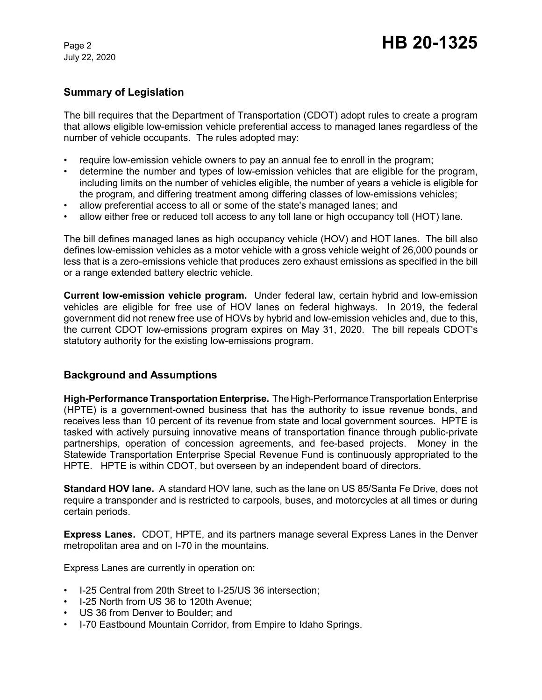## **Summary of Legislation**

The bill requires that the Department of Transportation (CDOT) adopt rules to create a program that allows eligible low-emission vehicle preferential access to managed lanes regardless of the number of vehicle occupants. The rules adopted may:

- require low-emission vehicle owners to pay an annual fee to enroll in the program;
- determine the number and types of low-emission vehicles that are eligible for the program, including limits on the number of vehicles eligible, the number of years a vehicle is eligible for the program, and differing treatment among differing classes of low-emissions vehicles;
- allow preferential access to all or some of the state's managed lanes; and
- allow either free or reduced toll access to any toll lane or high occupancy toll (HOT) lane.

The bill defines managed lanes as high occupancy vehicle (HOV) and HOT lanes. The bill also defines low-emission vehicles as a motor vehicle with a gross vehicle weight of 26,000 pounds or less that is a zero-emissions vehicle that produces zero exhaust emissions as specified in the bill or a range extended battery electric vehicle.

**Current low-emission vehicle program.** Under federal law, certain hybrid and low-emission vehicles are eligible for free use of HOV lanes on federal highways. In 2019, the federal government did not renew free use of HOVs by hybrid and low-emission vehicles and, due to this, the current CDOT low-emissions program expires on May 31, 2020. The bill repeals CDOT's statutory authority for the existing low-emissions program.

# **Background and Assumptions**

**High-Performance Transportation Enterprise.** The High-Performance Transportation Enterprise (HPTE) is a government-owned business that has the authority to issue revenue bonds, and receives less than 10 percent of its revenue from state and local government sources. HPTE is tasked with actively pursuing innovative means of transportation finance through public-private partnerships, operation of concession agreements, and fee-based projects. Money in the Statewide Transportation Enterprise Special Revenue Fund is continuously appropriated to the HPTE. HPTE is within CDOT, but overseen by an independent board of directors.

**Standard HOV lane.** A standard HOV lane, such as the lane on US 85/Santa Fe Drive, does not require a transponder and is restricted to carpools, buses, and motorcycles at all times or during certain periods.

**Express Lanes.** CDOT, HPTE, and its partners manage several Express Lanes in the Denver metropolitan area and on I-70 in the mountains.

Express Lanes are currently in operation on:

- I-25 Central from 20th Street to I-25/US 36 intersection;
- I-25 North from US 36 to 120th Avenue;
- US 36 from Denver to Boulder; and
- I-70 Eastbound Mountain Corridor, from Empire to Idaho Springs.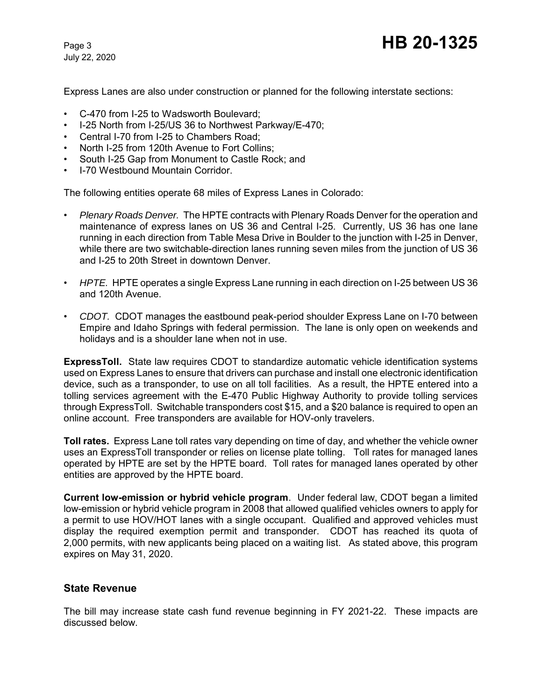Express Lanes are also under construction or planned for the following interstate sections:

- C-470 from I-25 to Wadsworth Boulevard;
- I-25 North from I-25/US 36 to Northwest Parkway/E-470;
- Central I-70 from I-25 to Chambers Road;
- North I-25 from 120th Avenue to Fort Collins;
- South I-25 Gap from Monument to Castle Rock; and
- I-70 Westbound Mountain Corridor.

The following entities operate 68 miles of Express Lanes in Colorado:

- *Plenary Roads Denver.* The HPTE contracts with Plenary Roads Denver for the operation and maintenance of express lanes on US 36 and Central I-25. Currently, US 36 has one lane running in each direction from Table Mesa Drive in Boulder to the junction with I-25 in Denver, while there are two switchable-direction lanes running seven miles from the junction of US 36 and I-25 to 20th Street in downtown Denver.
- *HPTE.* HPTE operates a single Express Lane running in each direction on I-25 between US 36 and 120th Avenue.
- *CDOT.* CDOT manages the eastbound peak-period shoulder Express Lane on I-70 between Empire and Idaho Springs with federal permission. The lane is only open on weekends and holidays and is a shoulder lane when not in use.

**ExpressToll.** State law requires CDOT to standardize automatic vehicle identification systems used on Express Lanes to ensure that drivers can purchase and install one electronic identification device, such as a transponder, to use on all toll facilities. As a result, the HPTE entered into a tolling services agreement with the E-470 Public Highway Authority to provide tolling services through ExpressToll. Switchable transponders cost \$15, and a \$20 balance is required to open an online account. Free transponders are available for HOV-only travelers.

**Toll rates.** Express Lane toll rates vary depending on time of day, and whether the vehicle owner uses an ExpressToll transponder or relies on license plate tolling. Toll rates for managed lanes operated by HPTE are set by the HPTE board. Toll rates for managed lanes operated by other entities are approved by the HPTE board.

**Current low-emission or hybrid vehicle program**.Under federal law, CDOT began a limited low-emission or hybrid vehicle program in 2008 that allowed qualified vehicles owners to apply for a permit to use HOV/HOT lanes with a single occupant. Qualified and approved vehicles must display the required exemption permit and transponder. CDOT has reached its quota of 2,000 permits, with new applicants being placed on a waiting list. As stated above, this program expires on May 31, 2020.

### **State Revenue**

The bill may increase state cash fund revenue beginning in FY 2021-22. These impacts are discussed below.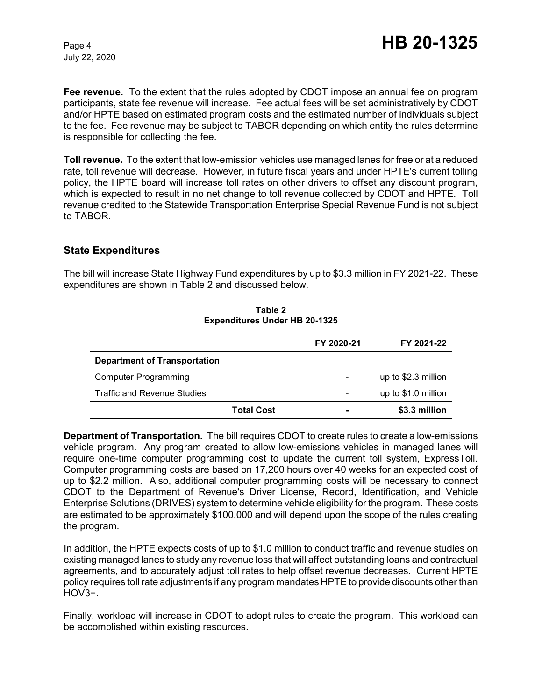**Fee revenue.** To the extent that the rules adopted by CDOT impose an annual fee on program participants, state fee revenue will increase. Fee actual fees will be set administratively by CDOT and/or HPTE based on estimated program costs and the estimated number of individuals subject to the fee. Fee revenue may be subject to TABOR depending on which entity the rules determine is responsible for collecting the fee.

**Toll revenue.** To the extent that low-emission vehicles use managed lanes for free or at a reduced rate, toll revenue will decrease. However, in future fiscal years and under HPTE's current tolling policy, the HPTE board will increase toll rates on other drivers to offset any discount program, which is expected to result in no net change to toll revenue collected by CDOT and HPTE. Toll revenue credited to the Statewide Transportation Enterprise Special Revenue Fund is not subject to TABOR.

### **State Expenditures**

The bill will increase State Highway Fund expenditures by up to \$3.3 million in FY 2021-22. These expenditures are shown in Table 2 and discussed below.

|                                     | FY 2020-21               | FY 2021-22          |
|-------------------------------------|--------------------------|---------------------|
| <b>Department of Transportation</b> |                          |                     |
| Computer Programming                |                          | up to \$2.3 million |
| <b>Traffic and Revenue Studies</b>  | $\overline{\phantom{a}}$ | up to \$1.0 million |
| <b>Total Cost</b>                   |                          | \$3.3 million       |

**Table 2 Expenditures Under HB 20-1325**

**Department of Transportation.** The bill requires CDOT to create rules to create a low-emissions vehicle program. Any program created to allow low-emissions vehicles in managed lanes will require one-time computer programming cost to update the current toll system, ExpressToll. Computer programming costs are based on 17,200 hours over 40 weeks for an expected cost of up to \$2.2 million. Also, additional computer programming costs will be necessary to connect CDOT to the Department of Revenue's Driver License, Record, Identification, and Vehicle Enterprise Solutions (DRIVES) system to determine vehicle eligibility for the program. These costs are estimated to be approximately \$100,000 and will depend upon the scope of the rules creating the program.

In addition, the HPTE expects costs of up to \$1.0 million to conduct traffic and revenue studies on existing managed lanes to study any revenue loss that will affect outstanding loans and contractual agreements, and to accurately adjust toll rates to help offset revenue decreases. Current HPTE policy requires toll rate adjustments if any program mandates HPTE to provide discounts other than HOV3+.

Finally, workload will increase in CDOT to adopt rules to create the program. This workload can be accomplished within existing resources.